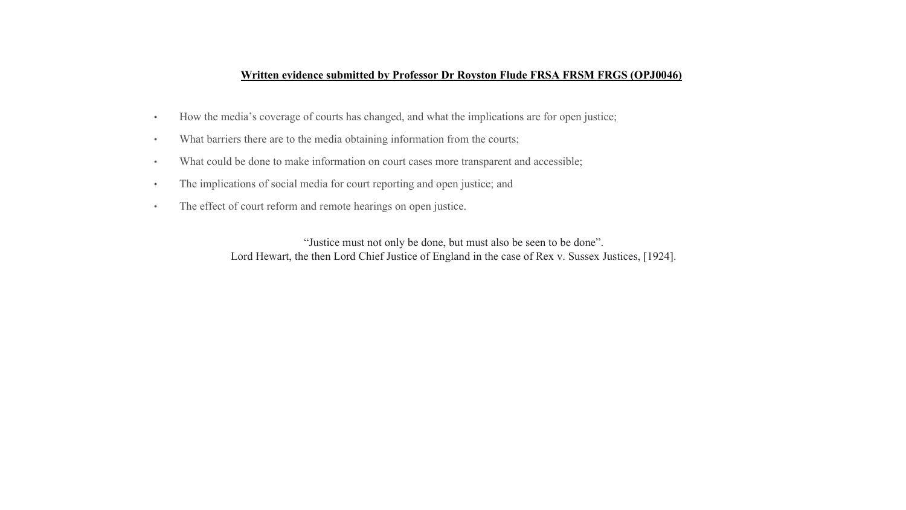#### **Written evidence submitted by Professor Dr Royston Flude FRSA FRSM FRGS (OPJ0046)**

- How the media's coverage of courts has changed, and what the implications are for open justice;
- What barriers there are to the media obtaining information from the courts;
- What could be done to make information on court cases more transparent and accessible;
- The implications of social media for court reporting and open justice; and
- The effect of court reform and remote hearings on open justice.

"Justice must not only be done, but must also be seen to be done". Lord Hewart, the then Lord Chief Justice of England in the case of Rex v. Sussex Justices, [1924].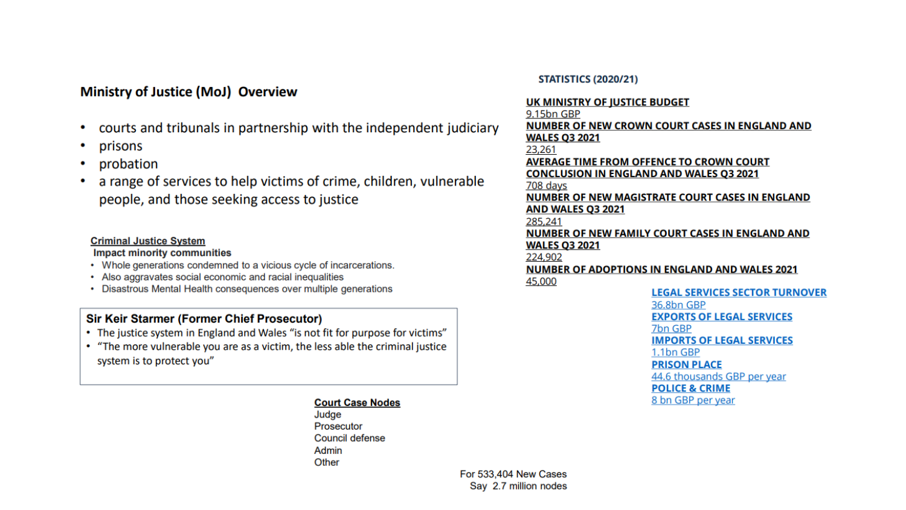# **Ministry of Justice (MoJ) Overview**

- courts and tribunals in partnership with the independent judiciary
- prisons
- probation
- a range of services to help victims of crime, children, vulnerable people, and those seeking access to justice

#### **Criminal Justice System**

**Impact minority communities** 

- Whole generations condemned to a vicious cycle of incarcerations.
- Also aggravates social economic and racial inequalities
- Disastrous Mental Health consequences over multiple generations

# **Sir Keir Starmer (Former Chief Prosecutor)**

- The justice system in England and Wales "is not fit for purpose for victims"
- "The more vulnerable you are as a victim, the less able the criminal justice system is to protect you"

#### **Court Case Nodes**

Judge **Prosecutor** Council defense Admin Other

#### **STATISTICS (2020/21)**

#### UK MINISTRY OF JUSTICE BUDGET

9.15bn GBP NUMBER OF NEW CROWN COURT CASES IN ENGLAND AND **WALES Q3 2021** 23,261 **AVERAGE TIME FROM OFFENCE TO CROWN COURT CONCLUSION IN ENGLAND AND WALES Q3 2021** 708 days NUMBER OF NEW MAGISTRATE COURT CASES IN ENGLAND AND WALES Q3 2021 285,241 NUMBER OF NEW FAMILY COURT CASES IN ENGLAND AND **WALES Q3 2021** 224,902 **NUMBER OF ADOPTIONS IN ENGLAND AND WALES 2021** 45,000 **LEGAL SERVICES SECTOR TURNOVER** 36.8bn GBP

**EXPORTS OF LEGAL SERVICES** 7bn GBP **IMPORTS OF LEGAL SERVICES** 1.1bn GBP **PRISON PLACE** 

44.6 thousands GBP per year **POLICE & CRIME** 8 bn GBP per year

For 533,404 New Cases Say 2.7 million nodes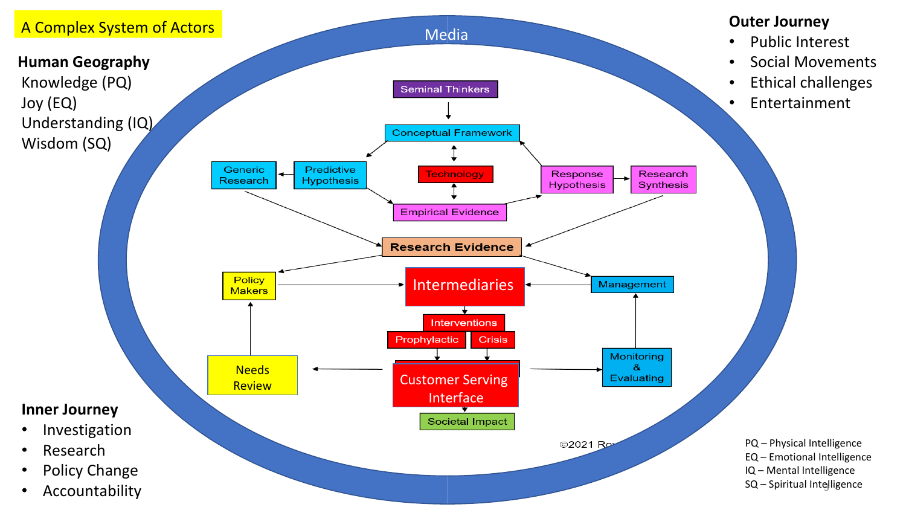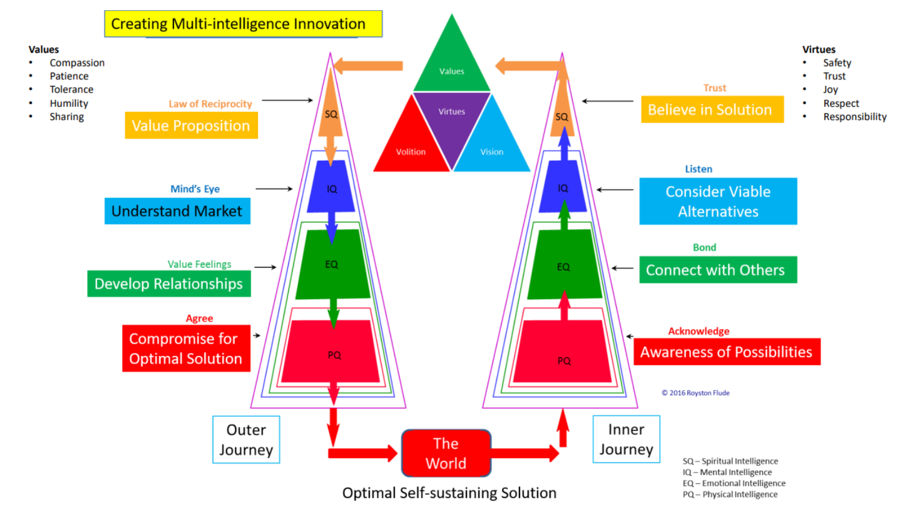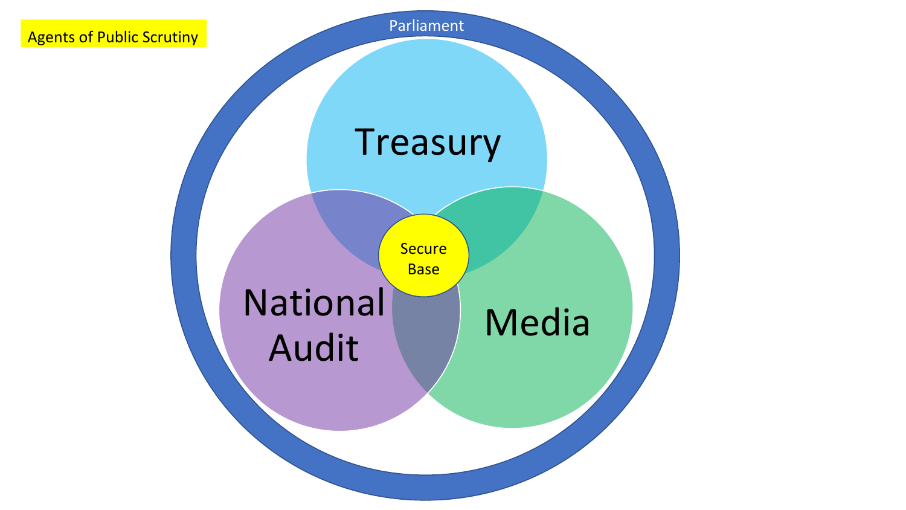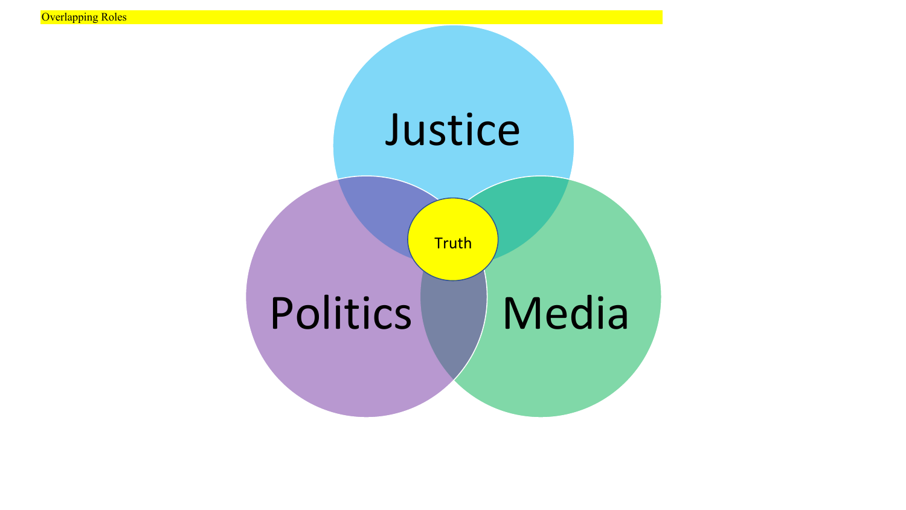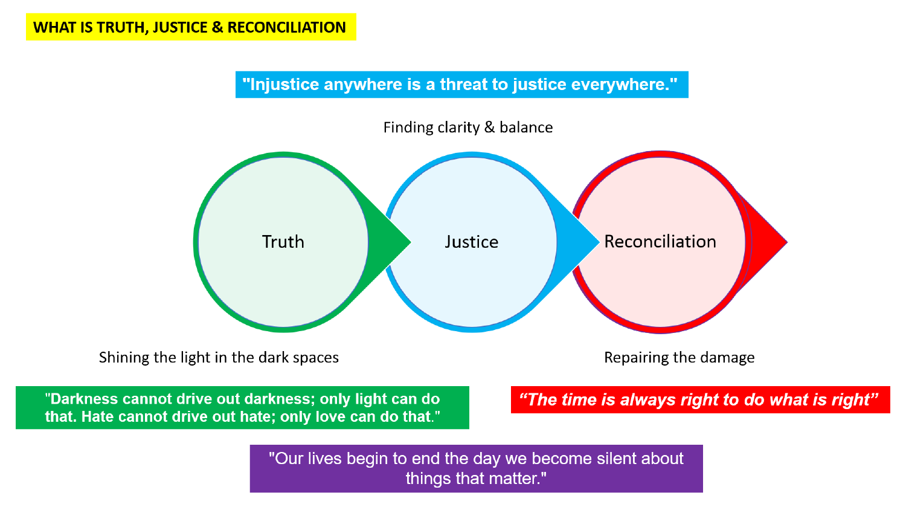"Injustice anywhere is a threat to justice everywhere."



"Darkness cannot drive out darkness; only light can do that. Hate cannot drive out hate; only love can do that."

"The time is always right to do what is right"

"Our lives begin to end the day we become silent about things that matter."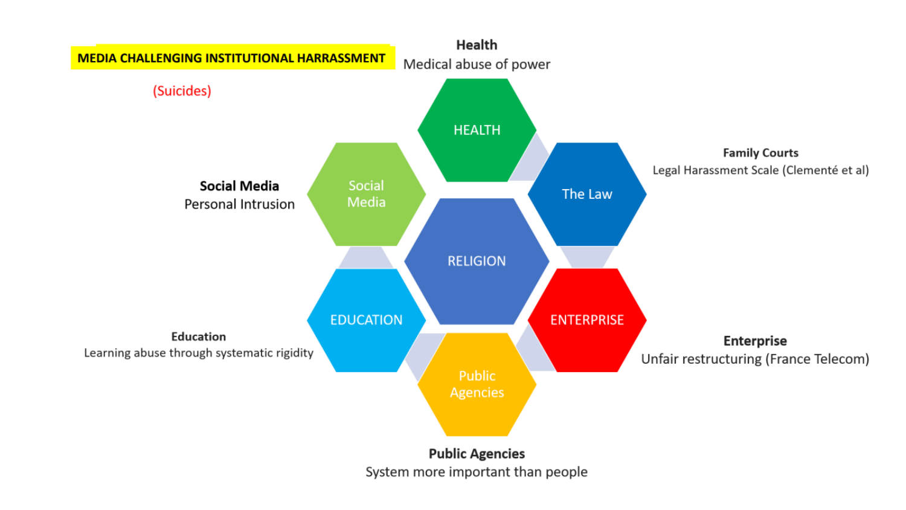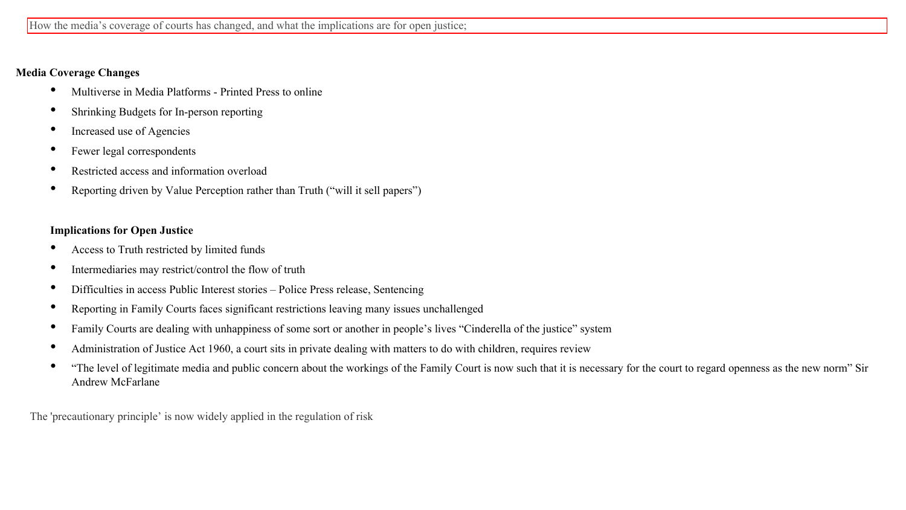# **Media Coverage Changes**

- Multiverse in Media Platforms Printed Press to online
- Shrinking Budgets for In-person reporting
- Increased use of Agencies
- Fewer legal correspondents
- Restricted access and information overload
- Reporting driven by Value Perception rather than Truth ("will it sell papers")

# **Implications for Open Justice**

- Access to Truth restricted by limited funds
- Intermediaries may restrict/control the flow of truth
- Difficulties in access Public Interest stories Police Press release, Sentencing
- Reporting in Family Courts faces significant restrictions leaving many issues unchallenged
- Family Courts are dealing with unhappiness of some sort or another in people's lives "Cinderella of the justice" system
- Administration of Justice Act 1960, <sup>a</sup> court sits in private dealing with matters to do with children, requires review
- "The level of legitimate media and public concern about the workings of the Family Court is now such that it is necessary for the court to regard openness as the new norm" Sir Andrew McFarlane

The 'precautionary principle' is now widely applied in the regulation of risk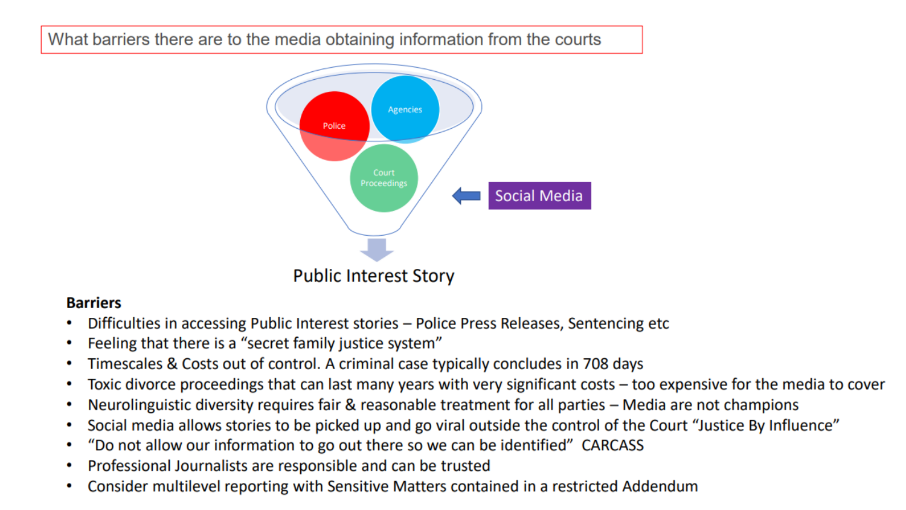What barriers there are to the media obtaining information from the courts



# **Barriers**

- Difficulties in accessing Public Interest stories Police Press Releases, Sentencing etc ۰
- Feeling that there is a "secret family justice system" ۰
- Timescales & Costs out of control. A criminal case typically concludes in 708 days ۰
- Toxic divorce proceedings that can last many years with very significant costs too expensive for the media to cover ٠
- Neurolinguistic diversity requires fair & reasonable treatment for all parties Media are not champions ٠
- Social media allows stories to be picked up and go viral outside the control of the Court "Justice By Influence" ٠
- "Do not allow our information to go out there so we can be identified" CARCASS ٠
- Professional Journalists are responsible and can be trusted ۰
- Consider multilevel reporting with Sensitive Matters contained in a restricted Addendum ٠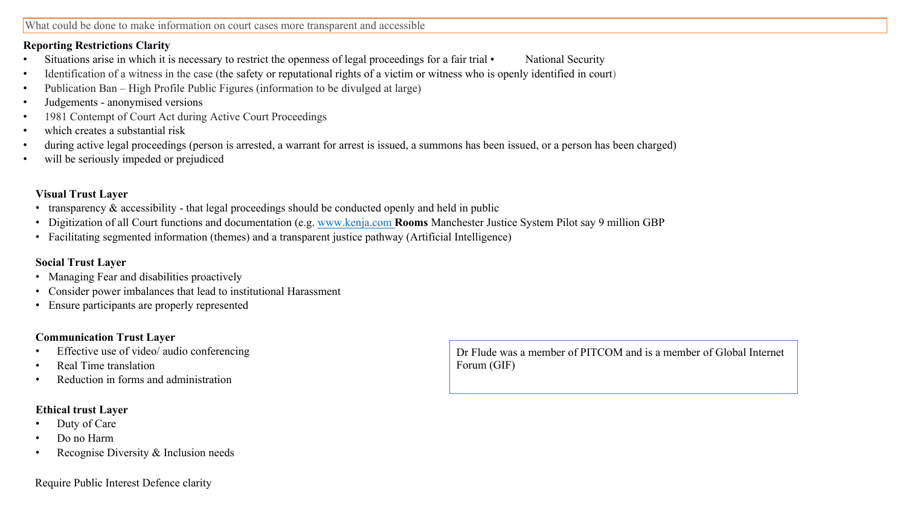# **Reporting Restrictions Clarity**

- Situations arise in which it is necessary to restrict the openness of legal proceedings for a fair trial National Security
- Identification of a witness in the case (the safety or reputational rights of a victim or witness who is openly identified in court)
- Publication Ban High Profile Public Figures (information to be divulged at large)
- Judgements anonymised versions
- 1981 Contempt of Court Act during Active Court Proceedings
- which creates a substantial risk
- during active legal proceedings (person is arrested, a warrant for arrest is issued, a summons has been issued, or a person has been charged)
- will be seriously impeded or prejudiced

# **Visual Trust Layer**

- transparency & accessibility that legal proceedings should be conducted openly and held in public
- Digitization of all Court functions and documentation (e.g. [www.kenja.com](http://www.kenja.com/) **Rooms** Manchester Justice System Pilot say 9 million GBP
- Facilitating segmented information (themes) and a transparent justice pathway (Artificial Intelligence)

# **Social Trust Layer**

- Managing Fear and disabilities proactively
- Consider power imbalances that lead to institutional Harassment
- Ensure participants are properly represented

# **Communication Trust Layer**

- Effective use of video/ audio conferencing
- Real Time translation
- Reduction in forms and administration

# **Ethical trust Layer**

- Duty of Care
- Do no Harm
- Recognise Diversity & Inclusion needs

#### Require Public Interest Defence clarity

Dr Flude was a member of PITCOM and is a member of Global Internet Forum (GIF)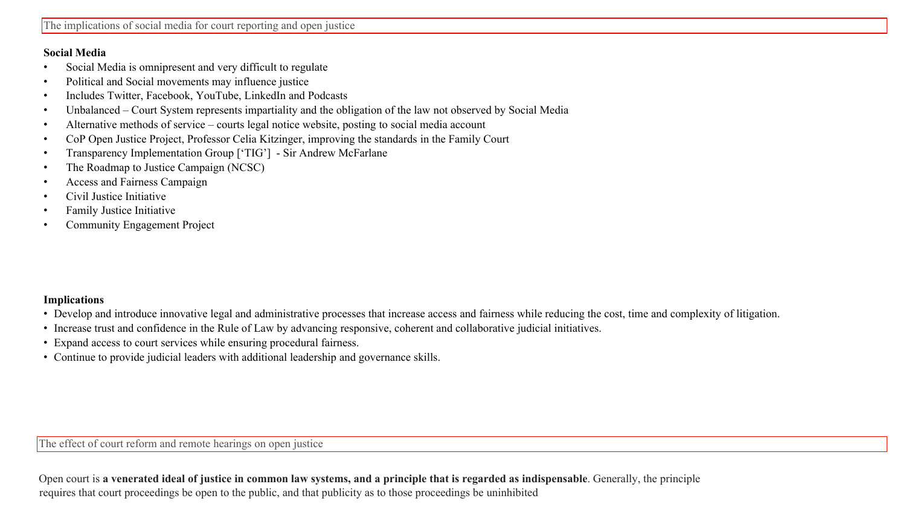### **Social Media**

- Social Media is omnipresent and very difficult to regulate
- Political and Social movements may influence justice
- Includes Twitter, Facebook, YouTube, LinkedIn and Podcasts
- Unbalanced Court System represents impartiality and the obligation of the law not observed by Social Media
- Alternative methods of service courts legal notice website, posting to social media account
- CoP Open Justice Project, Professor Celia Kitzinger, improving the standards in the Family Court
- Transparency Implementation Group ['TIG'] Sir Andrew McFarlane
- The Roadmap to Justice Campaign (NCSC)
- Access and Fairness Campaign
- Civil Justice Initiative
- Family Justice Initiative
- Community Engagement Project

### **Implications**

- Develop and introduce innovative legal and administrative processes that increase access and fairness while reducing the cost, time and complexity of litigation.
- Increase trust and confidence in the Rule of Law by advancing responsive, coherent and collaborative judicial initiatives.
- Expand access to court services while ensuring procedural fairness.
- Continue to provide judicial leaders with additional leadership and governance skills.

The effect of court reform and remote hearings on open justice

Open court is a venerated ideal of justice in common law systems, and a principle that is regarded as indispensable. Generally, the principle requires that court proceedings be open to the public, and that publicity as to those proceedings be uninhibited